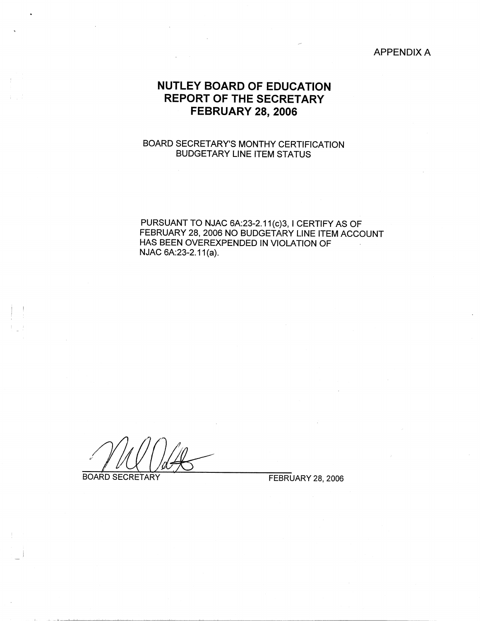#### APPENDIX A

## **NUTLEY BOARD OF EDUCATION REPORT OF THE SECRETARY FEBRUARY 28, 2006**

### BOARD SECRETARY'S MONTHY CERTIFICATION BUDGETARY LINE ITEM STATUS

PURSUANT TO NJAC 6A:23-2.11(c)3, I CERTIFY AS OF FEBRUARY 28, 2006 NO BUDGETARY LINE ITEM ACCOUNT HAS BEEN OVEREXPENDED IN VIOLATION OF NJAC 6A:23-2.11(a).

BOARD SECRETARY FEBRUARY 28, 2006

 $\left| \begin{array}{c} 1 \\ 1 \end{array} \right|$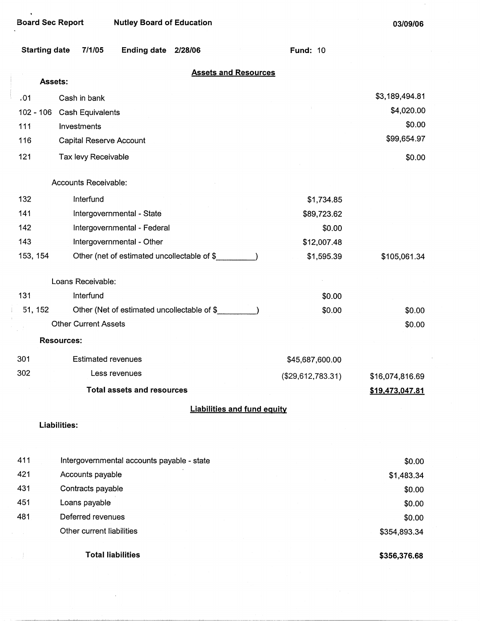$\ddot{\phantom{a}}$ 

 $\bullet$ 

**03/09/06** 

÷,

| <b>Starting date</b> | 7/1/05                      | <b>Ending date</b>                          | 2/28/06 |                                    | <b>Fund: 10</b>   |                 |  |
|----------------------|-----------------------------|---------------------------------------------|---------|------------------------------------|-------------------|-----------------|--|
|                      | Assets:                     |                                             |         | <b>Assets and Resources</b>        |                   |                 |  |
| .01                  | Cash in bank                |                                             |         |                                    |                   | \$3,189,494.81  |  |
| $102 - 106$          | Cash Equivalents            |                                             |         |                                    |                   | \$4,020.00      |  |
| 111                  | Investments                 |                                             |         |                                    |                   | \$0.00          |  |
| 116                  | Capital Reserve Account     |                                             |         |                                    |                   | \$99,654.97     |  |
| 121                  | Tax levy Receivable         |                                             |         |                                    |                   |                 |  |
|                      |                             |                                             |         |                                    |                   | \$0.00          |  |
|                      | Accounts Receivable:        |                                             |         |                                    |                   |                 |  |
| 132                  | Interfund                   |                                             |         |                                    | \$1,734.85        |                 |  |
| 141                  |                             | Intergovernmental - State                   |         |                                    | \$89,723.62       |                 |  |
| 142                  |                             | Intergovernmental - Federal                 |         |                                    | \$0.00            |                 |  |
| 143                  |                             | Intergovernmental - Other                   |         |                                    | \$12,007.48       |                 |  |
| 153, 154             |                             | Other (net of estimated uncollectable of \$ |         |                                    | \$1,595.39        | \$105,061.34    |  |
|                      | Loans Receivable:           |                                             |         |                                    |                   |                 |  |
| 131                  | Interfund                   |                                             |         |                                    | \$0.00            |                 |  |
| 51, 152              |                             | Other (Net of estimated uncollectable of \$ |         |                                    | \$0.00            | \$0.00          |  |
|                      | <b>Other Current Assets</b> |                                             |         |                                    |                   | \$0.00          |  |
|                      | <b>Resources:</b>           |                                             |         |                                    |                   |                 |  |
| 301                  | <b>Estimated revenues</b>   |                                             |         |                                    | \$45,687,600.00   |                 |  |
| 302                  |                             | Less revenues                               |         |                                    | (\$29,612,783.31) | \$16,074,816.69 |  |
|                      |                             | <b>Total assets and resources</b>           |         |                                    |                   | \$19,473,047.81 |  |
|                      |                             |                                             |         | <b>Liabilities and fund equity</b> |                   |                 |  |
|                      | Liabilities:                |                                             |         |                                    |                   |                 |  |
| 411                  |                             | Intergovernmental accounts payable - state  |         |                                    |                   | \$0.00          |  |
| 421                  | Accounts payable            |                                             |         |                                    |                   | \$1,483.34      |  |
| 431                  | Contracts payable           |                                             |         |                                    |                   | \$0.00          |  |
| 451                  | Loans payable               |                                             |         |                                    |                   | \$0.00          |  |
| 481                  | Deferred revenues           |                                             |         |                                    |                   | \$0.00          |  |
|                      | Other current liabilities   |                                             |         |                                    |                   | \$354,893.34    |  |
|                      | <b>Total liabilities</b>    |                                             |         |                                    |                   | \$356,376.68    |  |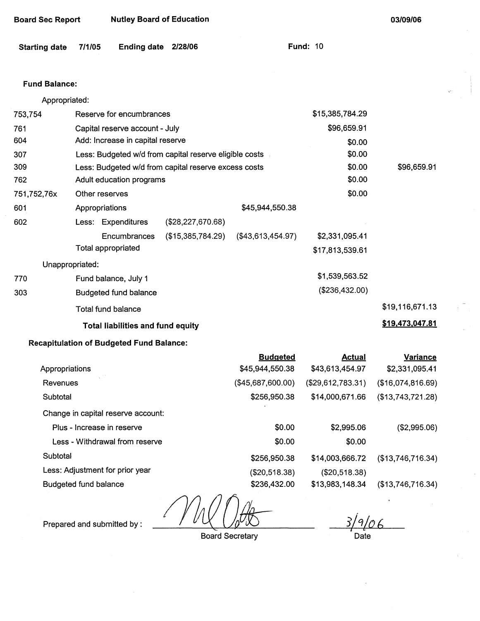| <b>Nutley Board of Education</b><br>Board Sec Report | 03/09/06 |
|------------------------------------------------------|----------|
|------------------------------------------------------|----------|

| Starting date 7/1/05 |  | Ending date 2/28/06 |  | <b>Fund: 10</b> |  |
|----------------------|--|---------------------|--|-----------------|--|
|----------------------|--|---------------------|--|-----------------|--|

#### **Fund Balance:**

Appropriated:

| 753,754     | Reserve for encumbrances                               |                   | \$15,385,784.29   |                 |                 |
|-------------|--------------------------------------------------------|-------------------|-------------------|-----------------|-----------------|
| 761         | Capital reserve account - July                         |                   | \$96,659.91       |                 |                 |
| 604         | Add: Increase in capital reserve                       |                   |                   | \$0.00          |                 |
| 307         | Less: Budgeted w/d from capital reserve eligible costs |                   |                   | \$0.00          |                 |
| 309         | Less: Budgeted w/d from capital reserve excess costs   |                   |                   | \$0.00          | \$96,659.91     |
| 762         | Adult education programs                               |                   |                   | \$0.00          |                 |
| 751,752,76x | Other reserves                                         |                   |                   | \$0.00          |                 |
| 601         | Appropriations                                         |                   | \$45,944,550.38   |                 |                 |
| 602         | Less: Expenditures                                     | (\$28,227,670.68) |                   |                 |                 |
|             | Encumbrances                                           | (\$15,385,784.29) | (\$43,613,454.97) | \$2,331,095.41  |                 |
|             | Total appropriated                                     |                   |                   | \$17,813,539.61 |                 |
|             | Unappropriated:                                        |                   |                   |                 |                 |
| 770         | Fund balance, July 1                                   |                   |                   | \$1,539,563.52  |                 |
| 303         | <b>Budgeted fund balance</b>                           |                   |                   | (\$236,432.00)  |                 |
|             | <b>Total fund balance</b>                              |                   |                   |                 | \$19,116,671.13 |
|             | <b>Total liabilities and fund equity</b>               |                   |                   |                 | \$19,473,047.81 |
|             | the dealers of Books and a fine different production   |                   |                   |                 |                 |

#### **Recapitulation of Budgeted Fund Balance:**

|                                    | <b>Budgeted</b>   | <b>Actual</b>     | <b>Variance</b>   |
|------------------------------------|-------------------|-------------------|-------------------|
| Appropriations                     | \$45,944,550.38   | \$43,613,454.97   | \$2,331,095.41    |
| Revenues                           | (\$45,687,600.00) | (\$29,612,783.31) | (\$16,074,816.69) |
| Subtotal                           | \$256,950.38      | \$14,000,671.66   | (\$13,743,721.28) |
| Change in capital reserve account: |                   |                   |                   |
| Plus - Increase in reserve         | \$0.00            | \$2,995.06        | (\$2,995.06)      |
| Less - Withdrawal from reserve     | \$0.00            | \$0.00            |                   |
| Subtotal                           | \$256,950.38      | \$14,003,666.72   | (\$13,746,716.34) |
| Less: Adjustment for prior year    | (\$20,518.38)     | (\$20,518.38)     |                   |
| Budgeted fund balance              | \$236,432.00      | \$13,983,148.34   | (\$13,746,716.34) |

t U

Prepared and submitted by :

Board Secretary

 $3/9/06$ 

Date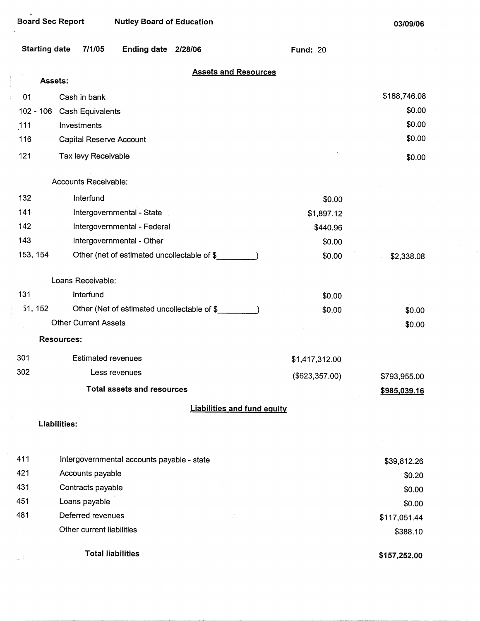$\bullet$ 

**03/09/06** 

|          | <b>Starting date</b><br><b>Ending date</b><br>7/1/05<br>2/28/06 | <b>Fund: 20</b>  |              |
|----------|-----------------------------------------------------------------|------------------|--------------|
|          | <b>Assets and Resources</b><br>Assets:                          |                  |              |
| 01       | Cash in bank                                                    |                  | \$188,746.08 |
|          | 102 - 106 Cash Equivalents                                      |                  | \$0.00       |
| 111      | Investments                                                     |                  | \$0.00       |
| 116      | <b>Capital Reserve Account</b>                                  |                  | \$0.00       |
| 121      | Tax levy Receivable                                             |                  | \$0.00       |
|          | Accounts Receivable:                                            |                  |              |
| 132      | Interfund                                                       | \$0.00           |              |
| 141      | Intergovernmental - State                                       | \$1,897.12       |              |
| 142      | Intergovernmental - Federal                                     | \$440.96         |              |
| 143      | Intergovernmental - Other                                       | \$0.00           |              |
| 153, 154 | Other (net of estimated uncollectable of \$                     | \$0.00           | \$2,338.08   |
|          | Loans Receivable:                                               |                  |              |
| 131      | Interfund                                                       | \$0.00           |              |
| 51, 152  | Other (Net of estimated uncollectable of \$                     | \$0.00           | \$0.00       |
|          | <b>Other Current Assets</b>                                     |                  | \$0.00       |
|          | <b>Resources:</b>                                               |                  |              |
| 301      | <b>Estimated revenues</b>                                       | \$1,417,312.00   |              |
| 302      | Less revenues                                                   | $(\$623,357.00)$ | \$793,955.00 |
|          | <b>Total assets and resources</b>                               |                  | \$985,039.16 |
|          | <b>Liabilities and fund equity</b>                              |                  |              |
|          | <b>Liabilities:</b>                                             |                  |              |
| 411      | Intergovernmental accounts payable - state                      |                  | \$39,812.26  |
| 421      | Accounts payable                                                |                  | \$0.20       |
| 431      | Contracts payable                                               |                  | \$0.00       |
| 451      | Loans payable                                                   |                  | \$0.00       |
| 481      | Deferred revenues                                               |                  | \$117,051.44 |
|          | Other current liabilities                                       |                  | \$388.10     |
|          | <b>Total liabilities</b>                                        |                  | \$157,252.00 |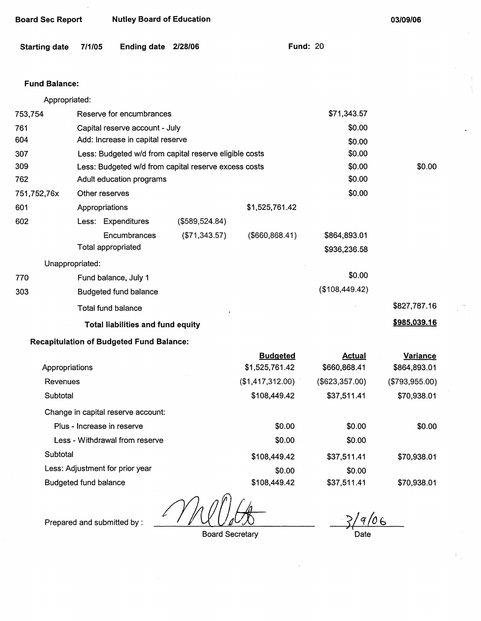| <b>Board Sec Report</b> |                 | <b>Nutley Board of Education</b>                       |                |                  |                 | 03/09/06       |  |
|-------------------------|-----------------|--------------------------------------------------------|----------------|------------------|-----------------|----------------|--|
| <b>Starting date</b>    | 7/1/05          | Ending date 2/28/06                                    |                |                  | <b>Fund: 20</b> |                |  |
| <b>Fund Balance:</b>    |                 |                                                        |                |                  |                 |                |  |
| Appropriated:           |                 |                                                        |                |                  |                 |                |  |
| 753,754                 |                 | Reserve for encumbrances                               |                |                  | \$71,343.57     |                |  |
| 761                     |                 | Capital reserve account - July                         |                |                  | \$0.00          |                |  |
| 604                     |                 | Add: Increase in capital reserve                       |                |                  | \$0.00          |                |  |
| 307                     |                 | Less: Budgeted w/d from capital reserve eligible costs |                |                  | \$0.00          |                |  |
| 309                     |                 | Less: Budgeted w/d from capital reserve excess costs   |                |                  | \$0.00          | \$0.00         |  |
| 762                     |                 | Adult education programs                               |                |                  | \$0.00          |                |  |
| 751,752,76x             | Other reserves  |                                                        |                |                  | \$0.00          |                |  |
| 601                     | Appropriations  |                                                        |                | \$1,525,761.42   |                 |                |  |
| 602                     |                 | Less: Expenditures                                     | (\$589,524.84) |                  |                 |                |  |
|                         |                 | Encumbrances                                           | (\$71,343.57)  | (\$660, 868.41)  | \$864,893.01    |                |  |
|                         |                 | Total appropriated                                     |                |                  | \$936,236.58    |                |  |
|                         | Unappropriated: |                                                        |                |                  |                 |                |  |
| 770                     |                 | Fund balance, July 1                                   |                |                  | \$0.00          |                |  |
| 303                     |                 | <b>Budgeted fund balance</b>                           |                |                  | (\$108,449.42)  |                |  |
|                         |                 | Total fund balance                                     |                |                  |                 | \$827,787.16   |  |
|                         |                 | <b>Total liabilities and fund equity</b>               |                |                  |                 | \$985,039.16   |  |
|                         |                 | <b>Recapitulation of Budgeted Fund Balance:</b>        |                |                  |                 |                |  |
|                         |                 |                                                        |                | <b>Budgeted</b>  | <b>Actual</b>   | Variance       |  |
| Appropriations          |                 |                                                        |                | \$1,525,761.42   | \$660,868.41    | \$864,893.01   |  |
| Revenues                |                 |                                                        |                | (\$1,417,312.00) | (\$623,357.00)  | (\$793,955.00) |  |
| Subtotal                |                 |                                                        |                | \$108,449.42     | \$37,511.41     | \$70,938.01    |  |
|                         |                 | Change in capital reserve account:                     |                |                  |                 |                |  |
|                         |                 | Plus - Increase in reserve                             |                | \$0.00           | \$0.00          | \$0.00         |  |
|                         |                 | Less - Withdrawal from reserve                         |                | \$0.00           | \$0.00          |                |  |
| Subtotal                |                 |                                                        |                | \$108,449.42     | \$37,511.41     | \$70,938.01    |  |
|                         |                 | Less: Adjustment for prior year                        |                | \$0.00           | \$0.00          |                |  |

Budgeted fund balance

l.

Prepared and submitted by :

Board Secretary

\$108,449.42

 $9/06$ Date

\$70,938.01

\$37,511.41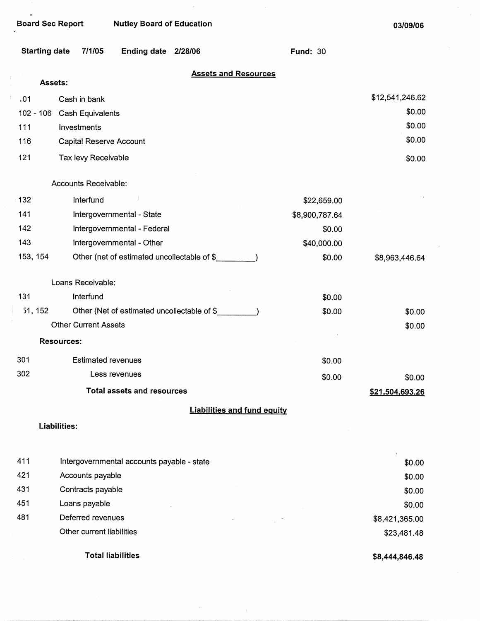$\bullet$ 

 $\bar{1}$ 

÷

| <b>Starting date</b> | Ending date 2/28/06<br>7/1/05               | <b>Fund: 30</b> |                           |
|----------------------|---------------------------------------------|-----------------|---------------------------|
|                      | <b>Assets and Resources</b>                 |                 |                           |
| Assets:              |                                             |                 |                           |
| .01                  | Cash in bank                                |                 | \$12,541,246.62<br>\$0.00 |
| $102 - 106$          | Cash Equivalents                            |                 | \$0.00                    |
| 111                  | Investments                                 |                 | \$0.00                    |
| 116                  | Capital Reserve Account                     |                 |                           |
| 121                  | Tax levy Receivable                         |                 | \$0.00                    |
|                      | Accounts Receivable:                        |                 |                           |
| 132                  | Interfund                                   | \$22,659.00     |                           |
| 141                  | Intergovernmental - State                   | \$8,900,787.64  |                           |
| 142                  | Intergovernmental - Federal                 | \$0.00          |                           |
| 143                  | Intergovernmental - Other                   | \$40,000.00     |                           |
| 153, 154             | Other (net of estimated uncollectable of \$ | \$0.00          | \$8,963,446.64            |
|                      | Loans Receivable:                           |                 |                           |
| 131                  | Interfund                                   | \$0.00          |                           |
| 51, 152              | Other (Net of estimated uncollectable of \$ | \$0.00          | \$0.00                    |
|                      | <b>Other Current Assets</b>                 |                 | \$0.00                    |
|                      | <b>Resources:</b>                           |                 |                           |
| 301                  | <b>Estimated revenues</b>                   | \$0.00          |                           |
| 302                  | Less revenues                               | \$0.00          | \$0.00                    |
|                      | <b>Total assets and resources</b>           |                 | \$21,504,693.26           |
|                      | <b>Liabilities and fund equity</b>          |                 |                           |
|                      | Liabilities:                                |                 |                           |
|                      |                                             |                 |                           |
| 411                  | Intergovernmental accounts payable - state  |                 | \$0.00                    |
| 421                  | Accounts payable                            |                 | \$0.00                    |
| 431                  | Contracts payable                           |                 | \$0.00                    |

 $\bar{z}$ 

451 481 Loans payable

Deferred revenues Other current liabilities \$8,421,365.00 \$23,481.48

**Total liabilities** 

**\$8,444,846.48** 

\$0.00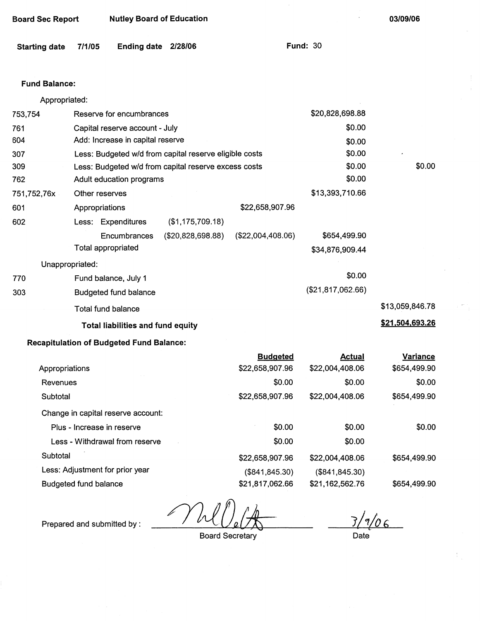| <b>Board Sec Report</b> |                 |                                                 | <b>Nutley Board of Education</b>                       |                   |                   | 03/09/06        |
|-------------------------|-----------------|-------------------------------------------------|--------------------------------------------------------|-------------------|-------------------|-----------------|
| <b>Starting date</b>    | 7/1/05          | Ending date 2/28/06                             |                                                        |                   | <b>Fund: 30</b>   |                 |
| <b>Fund Balance:</b>    |                 |                                                 |                                                        |                   |                   |                 |
| Appropriated:           |                 |                                                 |                                                        |                   |                   |                 |
| 753,754                 |                 | Reserve for encumbrances                        |                                                        |                   | \$20,828,698.88   |                 |
| 761                     |                 | Capital reserve account - July                  |                                                        |                   | \$0.00            |                 |
| 604                     |                 | Add: Increase in capital reserve                |                                                        |                   | \$0.00            |                 |
| 307                     |                 |                                                 | Less: Budgeted w/d from capital reserve eligible costs |                   | \$0.00            |                 |
| 309                     |                 |                                                 | Less: Budgeted w/d from capital reserve excess costs   |                   | \$0.00            | \$0.00          |
| 762                     |                 | Adult education programs                        |                                                        |                   | \$0.00            |                 |
| 751,752,76x             |                 | Other reserves                                  |                                                        |                   | \$13,393,710.66   |                 |
| 601                     |                 | Appropriations                                  |                                                        | \$22,658,907.96   |                   |                 |
| 602                     |                 | Less: Expenditures                              | (\$1,175,709.18)                                       |                   |                   |                 |
|                         |                 | Encumbrances                                    | (\$20,828,698.88)                                      | (\$22,004,408.06) | \$654,499.90      |                 |
|                         |                 | Total appropriated                              |                                                        |                   | \$34,876,909.44   |                 |
|                         | Unappropriated: |                                                 |                                                        |                   |                   |                 |
| 770                     |                 | Fund balance, July 1                            |                                                        |                   | \$0.00            |                 |
| 303                     |                 | <b>Budgeted fund balance</b>                    |                                                        |                   | (\$21,817,062.66) |                 |
|                         |                 | Total fund balance                              |                                                        |                   |                   | \$13,059,846.78 |
|                         |                 | Total liabilities and fund equity               |                                                        |                   |                   | \$21,504,693.26 |
|                         |                 | <b>Recapitulation of Budgeted Fund Balance:</b> |                                                        |                   |                   |                 |
|                         |                 |                                                 |                                                        | <b>Budgeted</b>   | <b>Actual</b>     | Variance        |
| Appropriations          |                 |                                                 |                                                        | \$22,658,907.96   | \$22,004,408.06   | \$654,499.90    |
| Revenues                |                 |                                                 |                                                        | \$0.00            | \$0.00            | \$0.00          |

Subtotal Change in capital reserve account: Plus - Increase in reserve Less - Withdrawal from reserve **Subtotal** Less: Adjustment for prior year Budgeted fund balance \$22,658,907.96 \$0.00 \$0.00 \$22,658,907.96 (\$841,845.30) \$21,817,062.66 \$22,004,408.06 \$0.00 \$0.00 \$22,004,408.06 (\$841,845.30) \$21,162,562.76 \$654,499.90 \$0.00 \$654,499.90 \$654,499.90

Prepared and submitted by :  $\frac{1}{\sqrt{2\pi}}$ 

*1/\_\_,jp* <sup>6</sup>

Date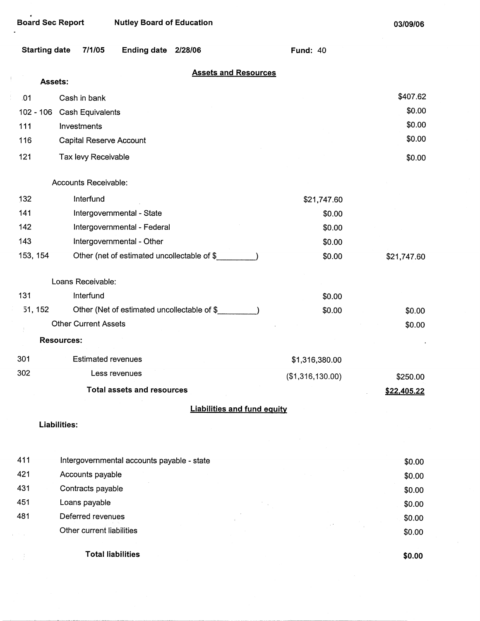$\frac{1}{2}$ 

 $\bar{t}$ 

**03/09/06** 

| <b>Starting date</b> | 7/1/05<br><b>Ending date</b>                | 2/28/06                            | <b>Fund: 40</b>  |             |
|----------------------|---------------------------------------------|------------------------------------|------------------|-------------|
|                      | Assets:                                     | <b>Assets and Resources</b>        |                  |             |
| .01                  | Cash in bank                                |                                    |                  | \$407.62    |
| $102 - 106$          | <b>Cash Equivalents</b>                     |                                    |                  | \$0.00      |
| 111                  | Investments                                 |                                    |                  | \$0.00      |
| 116                  | Capital Reserve Account                     |                                    |                  | \$0.00      |
| 121                  | Tax levy Receivable                         |                                    |                  | \$0.00      |
|                      | Accounts Receivable:                        |                                    |                  |             |
| 132                  | Interfund                                   |                                    | \$21,747.60      |             |
| 141                  | Intergovernmental - State                   |                                    | \$0.00           |             |
| 142                  | Intergovernmental - Federal                 |                                    | \$0.00           |             |
| 143                  | Intergovernmental - Other                   |                                    | \$0.00           |             |
| 153, 154             | Other (net of estimated uncollectable of \$ |                                    | \$0.00           | \$21,747.60 |
|                      | Loans Receivable:                           |                                    |                  |             |
| 131                  | Interfund                                   |                                    | \$0.00           |             |
| 51, 152              | Other (Net of estimated uncollectable of \$ |                                    | \$0.00           | \$0.00      |
|                      | <b>Other Current Assets</b>                 |                                    |                  | \$0.00      |
|                      | <b>Resources:</b>                           |                                    |                  |             |
| 301                  | <b>Estimated revenues</b>                   |                                    | \$1,316,380.00   |             |
| 302                  | Less revenues                               |                                    | (\$1,316,130.00) | \$250.00    |
|                      | <b>Total assets and resources</b>           |                                    |                  | \$22,405.22 |
|                      |                                             | <b>Liabilities and fund equity</b> |                  |             |
|                      | Liabilities:                                |                                    |                  |             |
| 411                  | Intergovernmental accounts payable - state  |                                    |                  | \$0.00      |
| 421                  | Accounts payable                            |                                    |                  | \$0.00      |
| 431                  | Contracts payable                           |                                    |                  | \$0.00      |
| 451                  | Loans payable                               |                                    |                  | \$0.00      |
| 481                  | Deferred revenues                           |                                    |                  | \$0.00      |
|                      | Other current liabilities                   |                                    |                  | \$0.00      |
|                      | <b>Total liabilities</b>                    |                                    |                  | \$0.00      |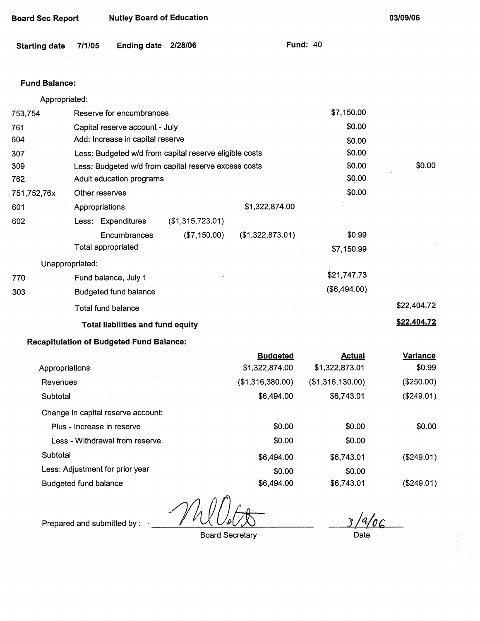| <b>Starting date</b> | 7/1/05         | <b>Ending date</b>                              | 2/28/06                                                |                  | <b>Fund: 40</b> |                  |                 |
|----------------------|----------------|-------------------------------------------------|--------------------------------------------------------|------------------|-----------------|------------------|-----------------|
| <b>Fund Balance:</b> |                |                                                 |                                                        |                  |                 |                  |                 |
| Appropriated:        |                |                                                 |                                                        |                  |                 |                  |                 |
| 753,754              |                | Reserve for encumbrances                        |                                                        |                  |                 | \$7,150.00       |                 |
| 761                  |                | Capital reserve account - July                  |                                                        |                  |                 | \$0.00           |                 |
| 604                  |                | Add: Increase in capital reserve                |                                                        |                  |                 | \$0.00           |                 |
| 307                  |                |                                                 | Less: Budgeted w/d from capital reserve eligible costs |                  |                 | \$0.00           |                 |
| 309                  |                |                                                 | Less: Budgeted w/d from capital reserve excess costs   |                  |                 | \$0.00           | \$0.00          |
| 762                  |                | Adult education programs                        |                                                        |                  |                 | \$0.00           |                 |
| 751,752,76x          | Other reserves |                                                 |                                                        |                  |                 | \$0.00           |                 |
| 601                  | Appropriations |                                                 |                                                        | \$1,322,874.00   |                 |                  |                 |
| 602                  |                | Less: Expenditures                              | (\$1,315,723.01)                                       |                  |                 |                  |                 |
|                      |                | Encumbrances                                    | (\$7,150.00)                                           | (\$1,322,873.01) |                 | \$0.99           |                 |
|                      |                | <b>Total appropriated</b>                       |                                                        |                  |                 | \$7,150.99       |                 |
| Unappropriated:      |                |                                                 |                                                        |                  |                 |                  |                 |
| 770                  |                | Fund balance, July 1                            |                                                        |                  |                 | \$21,747.73      |                 |
| 303                  |                | <b>Budgeted fund balance</b>                    |                                                        |                  |                 | (\$6,494.00)     |                 |
|                      |                | <b>Total fund balance</b>                       |                                                        |                  |                 |                  | \$22,404.72     |
|                      |                | <b>Total liabilities and fund equity</b>        |                                                        |                  |                 |                  | \$22,404.72     |
|                      |                | <b>Recapitulation of Budgeted Fund Balance:</b> |                                                        |                  |                 |                  |                 |
|                      |                |                                                 |                                                        | <b>Budgeted</b>  |                 | <b>Actual</b>    | <b>Variance</b> |
| Appropriations       |                |                                                 |                                                        | \$1,322,874.00   |                 | \$1,322,873.01   | \$0.99          |
| Revenues             |                |                                                 |                                                        | (\$1,316,380.00) |                 | (\$1,316,130.00) | (\$250.00)      |
| Subtotal             |                |                                                 |                                                        | \$6,494.00       |                 | \$6,743.01       | (\$249.01)      |
|                      |                | Change in capital reserve account:              |                                                        |                  |                 |                  |                 |

|                                    | <b>Budgeted</b>  | Actual           | Variance      |
|------------------------------------|------------------|------------------|---------------|
| Appropriations                     | \$1,322,874.00   | \$1,322,873.01   | \$0.99        |
| Revenues                           | (\$1,316,380.00) | (\$1,316,130.00) | (\$250.00)    |
| Subtotal                           | \$6,494.00       | \$6,743.01       | (\$249.01)    |
| Change in capital reserve account: |                  |                  |               |
| Plus - Increase in reserve         | \$0.00           | \$0.00           | \$0.00        |
| Less - Withdrawal from reserve     | \$0.00           | \$0.00           |               |
| Subtotal                           | \$6,494.00       | \$6,743.01       | $($ \$249.01) |
| Less: Adjustment for prior year    | \$0.00           | \$0.00           |               |
| Budgeted fund balance              | \$6,494.00       | \$6,743.01       | (\$249.01)    |

Prepared and submitted by :

**Board Sec Report Nutley Board of Education** 

Board Secretary

*,1\_/tt/4,* 

**03/09/06** 

 $\hat{\mathbf{r}}$ 

.<br>Date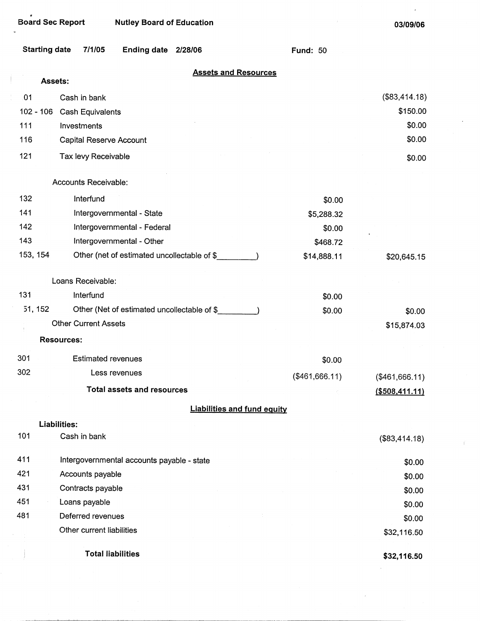# . Board Sec Report Nutley Board of Education

03/09/06

 $\hat{\boldsymbol{\epsilon}}$ 

| <b>Starting date</b> | 7/1/05                                     | Ending date 2/28/06                         |                                    | <b>Fund: 50</b> |                |
|----------------------|--------------------------------------------|---------------------------------------------|------------------------------------|-----------------|----------------|
|                      | Assets:                                    |                                             | <b>Assets and Resources</b>        |                 |                |
| 01                   | Cash in bank                               |                                             |                                    |                 | (\$83,414.18)  |
| $102 - 106$          | Cash Equivalents                           |                                             |                                    |                 | \$150.00       |
| 111                  | Investments                                |                                             |                                    |                 | \$0.00         |
| 116                  | Capital Reserve Account                    |                                             |                                    |                 | \$0.00         |
| 121                  | Tax levy Receivable                        |                                             |                                    |                 | \$0.00         |
|                      | Accounts Receivable:                       |                                             |                                    |                 |                |
| 132                  | Interfund                                  |                                             |                                    | \$0.00          |                |
| 141                  |                                            | Intergovernmental - State                   |                                    | \$5,288.32      |                |
| 142                  |                                            | Intergovernmental - Federal                 |                                    | \$0.00          |                |
| 143                  |                                            | Intergovernmental - Other                   |                                    | \$468.72        |                |
| 153, 154             |                                            | Other (net of estimated uncollectable of \$ |                                    | \$14,888.11     | \$20,645.15    |
|                      | Loans Receivable:                          |                                             |                                    |                 |                |
| 131                  | Interfund                                  |                                             |                                    | \$0.00          |                |
| 51, 152              |                                            | Other (Net of estimated uncollectable of \$ |                                    | \$0.00          | \$0.00         |
|                      | <b>Other Current Assets</b>                |                                             |                                    |                 | \$15,874.03    |
|                      | <b>Resources:</b>                          |                                             |                                    |                 |                |
| 301                  | <b>Estimated revenues</b>                  |                                             |                                    | \$0.00          |                |
| 302                  | Less revenues                              |                                             |                                    | (\$461,666.11)  | (\$461,666.11) |
|                      |                                            | <b>Total assets and resources</b>           |                                    |                 | (\$508,411.11) |
|                      |                                            |                                             | <b>Liabilities and fund equity</b> |                 |                |
|                      | Liabilities:                               |                                             |                                    |                 |                |
| 101                  | Cash in bank                               |                                             |                                    |                 | (\$83,414.18)  |
| 411                  | Intergovernmental accounts payable - state |                                             |                                    |                 | \$0.00         |
| 421                  | Accounts payable                           |                                             |                                    |                 | \$0.00         |
| 431                  | Contracts payable                          |                                             |                                    |                 | \$0.00         |
| 451                  | Loans payable                              |                                             |                                    |                 | \$0.00         |
| 481                  | Deferred revenues                          |                                             |                                    |                 | \$0.00         |
|                      | Other current liabilities                  |                                             |                                    |                 | \$32,116.50    |
|                      | <b>Total liabilities</b>                   |                                             |                                    |                 | \$32,116.50    |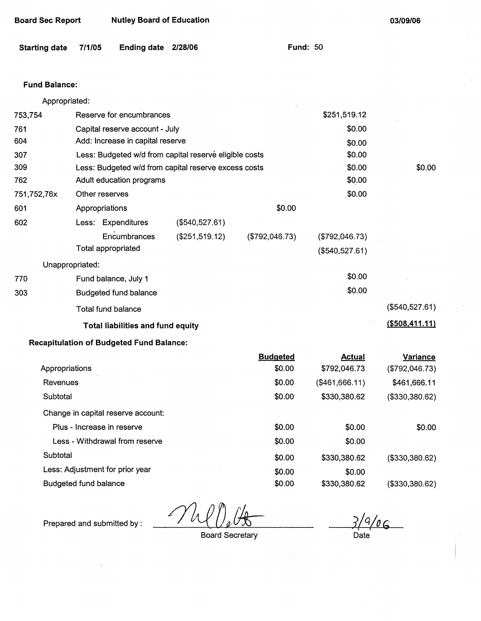| <b>Starting date</b>         | 7/1/05 | <b>Ending date</b>                              | 2/28/06                                                | <b>Fund: 50</b> |                |                   |
|------------------------------|--------|-------------------------------------------------|--------------------------------------------------------|-----------------|----------------|-------------------|
| <b>Fund Balance:</b>         |        |                                                 |                                                        |                 |                |                   |
| Appropriated:                |        |                                                 |                                                        |                 |                |                   |
| 753,754                      |        | Reserve for encumbrances                        |                                                        |                 | \$251,519.12   |                   |
| 761                          |        | Capital reserve account - July                  |                                                        |                 | \$0.00         |                   |
| 604                          |        | Add: Increase in capital reserve                |                                                        |                 | \$0.00         |                   |
| 307                          |        |                                                 | Less: Budgeted w/d from capital reserve eligible costs |                 | \$0.00         |                   |
| 309                          |        |                                                 | Less: Budgeted w/d from capital reserve excess costs   |                 | \$0.00         | \$0.00            |
| 762                          |        | Adult education programs                        |                                                        |                 | \$0.00         |                   |
| 751,752,76x                  |        | Other reserves                                  |                                                        |                 | \$0.00         |                   |
| 601                          |        | Appropriations                                  |                                                        | \$0.00          |                |                   |
| 602                          |        | Less: Expenditures                              | (\$540,527.61)                                         |                 |                |                   |
|                              |        | Encumbrances                                    | (\$251,519.12)                                         | (\$792,046.73)  | (\$792,046.73) |                   |
|                              |        | <b>Total appropriated</b>                       |                                                        |                 | (\$540,527.61) |                   |
| Unappropriated:              |        |                                                 |                                                        |                 |                |                   |
| 770                          |        | Fund balance, July 1                            |                                                        |                 | \$0.00         |                   |
| 303                          |        | Budgeted fund balance                           |                                                        |                 | \$0.00         |                   |
|                              |        | <b>Total fund balance</b>                       |                                                        |                 |                | (\$540,527.61)    |
|                              |        | <b>Total liabilities and fund equity</b>        |                                                        |                 |                | $($ \$508,411.11) |
|                              |        | <b>Recapitulation of Budgeted Fund Balance:</b> |                                                        |                 |                |                   |
|                              |        |                                                 |                                                        | <b>Budgeted</b> | <b>Actual</b>  | <b>Variance</b>   |
| Appropriations               |        |                                                 |                                                        | \$0.00          | \$792,046.73   | (\$792,046.73)    |
| Revenues                     |        |                                                 |                                                        | \$0.00          | (\$461,666.11) | \$461,666.11      |
| Subtotal                     |        |                                                 |                                                        | \$0.00          | \$330,380.62   | (\$330,380.62)    |
|                              |        | Change in capital reserve account:              |                                                        |                 |                |                   |
|                              |        | Plus - Increase in reserve                      |                                                        | \$0.00          | \$0.00         | \$0.00            |
|                              |        | Less - Withdrawal from reserve                  |                                                        | \$0.00          | \$0.00         |                   |
| Subtotal                     |        |                                                 |                                                        | \$0.00          | \$330,380.62   | (\$330,380.62)    |
|                              |        | Less: Adjustment for prior year                 |                                                        | \$0.00          | \$0.00         |                   |
| <b>Budgeted fund balance</b> |        |                                                 |                                                        | \$0.00          | \$330,380.62   | (\$330,380.62)    |

Prepared and submitted by :

**Board Sec Report Nutley Board of Education** 

 $\gamma_h$ 

 $3/9/06$ Date

**03/09/06** 

Ŷ.

Board Secretary

 $\bar{J}$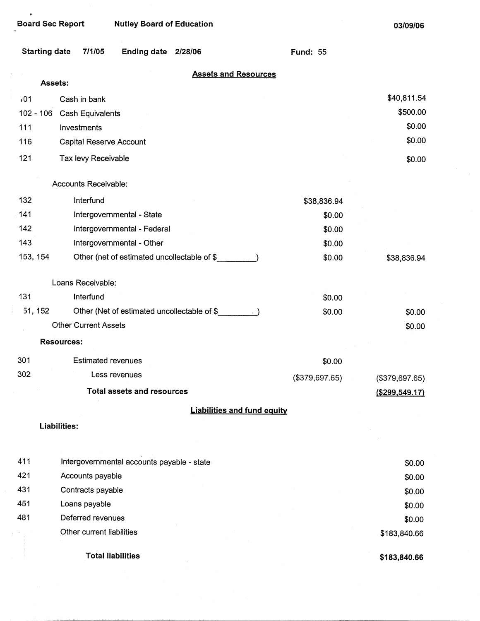$\bullet$ 

 $\cdot$ 

 $\frac{1}{4}$ 

 $\hat{\mathcal{A}}$ 

 $\mathbf{A}$ 

.<br>منتقلة المستحدة  $\mathbf{L}$ 

Board Sec Report Nutley Board of Education

**03/09/06** 

 $\mathcal{L}$ 

| <b>Starting date</b> | 7/1/05<br><b>Ending date</b><br>2/28/06     | <b>Fund: 55</b> |                   |
|----------------------|---------------------------------------------|-----------------|-------------------|
|                      | <b>Assets and Resources</b>                 |                 |                   |
| Assets:<br>,01       | Cash in bank                                |                 | \$40,811.54       |
|                      | 102 - 106 Cash Equivalents                  |                 | \$500.00          |
| 111                  | Investments                                 |                 | \$0.00            |
| 116                  | Capital Reserve Account                     |                 | \$0.00            |
| 121                  | Tax levy Receivable                         |                 | \$0.00            |
|                      | Accounts Receivable:                        |                 |                   |
| 132                  | Interfund                                   | \$38,836.94     |                   |
| 141                  | Intergovernmental - State                   | \$0.00          |                   |
| 142                  | Intergovernmental - Federal                 | \$0.00          |                   |
| 143                  | Intergovernmental - Other                   | \$0.00          |                   |
| 153, 154             | Other (net of estimated uncollectable of \$ | \$0.00          | \$38,836.94       |
|                      | Loans Receivable:                           |                 |                   |
| 131                  | Interfund                                   | \$0.00          |                   |
| 51, 152              | Other (Net of estimated uncollectable of \$ | \$0.00          | \$0.00            |
|                      | <b>Other Current Assets</b>                 |                 | \$0.00            |
|                      | <b>Resources:</b>                           |                 |                   |
| 301                  | <b>Estimated revenues</b>                   | \$0.00          |                   |
| 302                  | Less revenues                               | (\$379,697.65)  | (\$379,697.65)    |
|                      | <b>Total assets and resources</b>           |                 | $($ \$299,549.17) |
|                      | <b>Liabilities and fund equity</b>          |                 |                   |
|                      | <b>Liabilities:</b>                         |                 |                   |
| 411                  | Intergovernmental accounts payable - state  |                 | \$0.00            |
| 421                  | Accounts payable                            |                 | \$0.00            |
| 431                  | Contracts payable                           |                 | \$0.00            |
| 451                  | Loans payable                               |                 | \$0.00            |
| 481                  | Deferred revenues                           |                 | \$0.00            |
|                      | Other current liabilities                   |                 | \$183,840.66      |
|                      | <b>Total liabilities</b>                    |                 | \$183,840.66      |